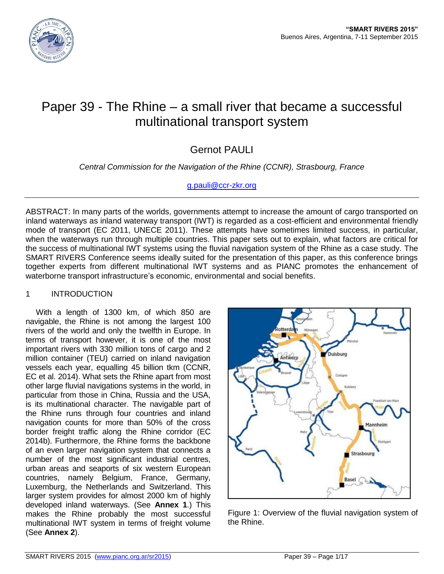

# Paper 39 - The Rhine – a small river that became a successful multinational transport system

# Gernot PAULI

*Central Commission for the Navigation of the Rhine (CCNR), Strasbourg, France*

# [g.pauli@ccr-zkr.org](mailto:g.pauli@ccr-zkr.org)

ABSTRACT: In many parts of the worlds, governments attempt to increase the amount of cargo transported on inland waterways as inland waterway transport (IWT) is regarded as a cost-efficient and environmental friendly mode of transport (EC 2011, UNECE 2011). These attempts have sometimes limited success, in particular, when the waterways run through multiple countries. This paper sets out to explain, what factors are critical for the success of multinational IWT systems using the fluvial navigation system of the Rhine as a case study. The SMART RIVERS Conference seems ideally suited for the presentation of this paper, as this conference brings together experts from different multinational IWT systems and as PIANC promotes the enhancement of waterborne transport infrastructure's economic, environmental and social benefits.

# 1 INTRODUCTION

With a length of 1300 km, of which 850 are navigable, the Rhine is not among the largest 100 rivers of the world and only the twelfth in Europe. In terms of transport however, it is one of the most important rivers with 330 million tons of cargo and 2 million container (TEU) carried on inland navigation vessels each year, equalling 45 billion tkm (CCNR, EC et al. 2014). What sets the Rhine apart from most other large fluvial navigations systems in the world, in particular from those in China, Russia and the USA, is its multinational character. The navigable part of the Rhine runs through four countries and inland navigation counts for more than 50% of the cross border freight traffic along the Rhine corridor (EC 2014b). Furthermore, the Rhine forms the backbone of an even larger navigation system that connects a number of the most significant industrial centres, urban areas and seaports of six western European countries, namely Belgium, France, Germany, Luxemburg, the Netherlands and Switzerland. This larger system provides for almost 2000 km of highly developed inland waterways. (See **Annex 1**.) This makes the Rhine probably the most successful multinational IWT system in terms of freight volume (See **Annex 2**).



Figure 1: Overview of the fluvial navigation system of the Rhine.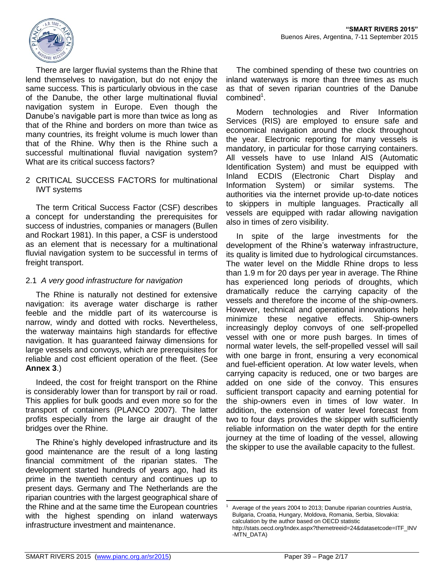

There are larger fluvial systems than the Rhine that lend themselves to navigation, but do not enjoy the same success. This is particularly obvious in the case of the Danube, the other large multinational fluvial navigation system in Europe. Even though the Danube's navigable part is more than twice as long as that of the Rhine and borders on more than twice as many countries, its freight volume is much lower than that of the Rhine. Why then is the Rhine such a successful multinational fluvial navigation system? What are its critical success factors?

#### 2 CRITICAL SUCCESS FACTORS for multinational IWT systems

The term Critical Success Factor (CSF) describes a concept for understanding the prerequisites for success of industries, companies or managers (Bullen and Rockart 1981). In this paper, a CSF is understood as an element that is necessary for a multinational fluvial navigation system to be successful in terms of freight transport.

#### 2.1 *A very good infrastructure for navigation*

The Rhine is naturally not destined for extensive navigation: its average water discharge is rather feeble and the middle part of its watercourse is narrow, windy and dotted with rocks. Nevertheless, the waterway maintains high standards for effective navigation. It has guaranteed fairway dimensions for large vessels and convoys, which are prerequisites for reliable and cost efficient operation of the fleet. (See **Annex 3**.)

Indeed, the cost for freight transport on the Rhine is considerably lower than for transport by rail or road. This applies for bulk goods and even more so for the transport of containers (PLANCO 2007). The latter profits especially from the large air draught of the bridges over the Rhine.

The Rhine's highly developed infrastructure and its good maintenance are the result of a long lasting financial commitment of the riparian states. The development started hundreds of years ago, had its prime in the twentieth century and continues up to present days. Germany and The Netherlands are the riparian countries with the largest geographical share of the Rhine and at the same time the European countries with the highest spending on inland waterways infrastructure investment and maintenance.

The combined spending of these two countries on inland waterways is more than three times as much as that of seven riparian countries of the Danube combined<sup>1</sup>.

Modern technologies and River Information Services (RIS) are employed to ensure safe and economical navigation around the clock throughout the year. Electronic reporting for many vessels is mandatory, in particular for those carrying containers. All vessels have to use Inland AIS (Automatic Identification System) and must be equipped with Inland ECDIS (Electronic Chart Display and Information System) or similar systems. The authorities via the internet provide up-to-date notices to skippers in multiple languages. Practically all vessels are equipped with radar allowing navigation also in times of zero visibility.

In spite of the large investments for the development of the Rhine's waterway infrastructure, its quality is limited due to hydrological circumstances. The water level on the Middle Rhine drops to less than 1.9 m for 20 days per year in average. The Rhine has experienced long periods of droughts, which dramatically reduce the carrying capacity of the vessels and therefore the income of the ship-owners. However, technical and operational innovations help minimize these negative effects. Ship-owners increasingly deploy convoys of one self-propelled vessel with one or more push barges. In times of normal water levels, the self-propelled vessel will sail with one barge in front, ensuring a very economical and fuel-efficient operation. At low water levels, when carrying capacity is reduced, one or two barges are added on one side of the convoy. This ensures sufficient transport capacity and earning potential for the ship-owners even in times of low water. In addition, the extension of water level forecast from two to four days provides the skipper with sufficiently reliable information on the water depth for the entire journey at the time of loading of the vessel, allowing the skipper to use the available capacity to the fullest.

 $\overline{a}$ 

Average of the years 2004 to 2013; Danube riparian countries Austria, Bulgaria, Croatia, Hungary, Moldova, Romania, Serbia, Slovakia: calculation by the author based on OECD statistic http://stats.oecd.org/Index.aspx?themetreeid=24&datasetcode=ITF\_INV -MTN\_DATA)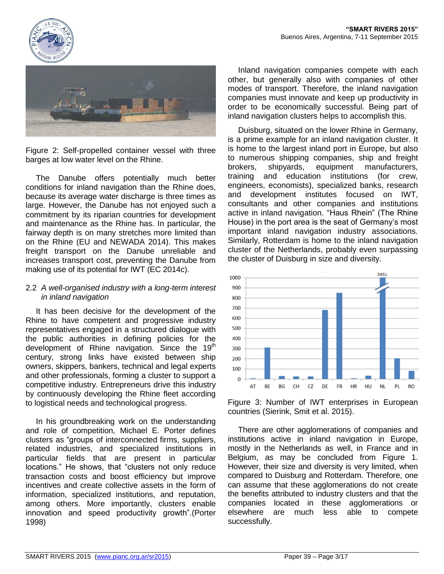



Figure 2: Self-propelled container vessel with three barges at low water level on the Rhine.

The Danube offers potentially much better conditions for inland navigation than the Rhine does, because its average water discharge is three times as large. However, the Danube has not enjoyed such a commitment by its riparian countries for development and maintenance as the Rhine has. In particular, the fairway depth is on many stretches more limited than on the Rhine (EU and NEWADA 2014). This makes freight transport on the Danube unreliable and increases transport cost, preventing the Danube from making use of its potential for IWT (EC 2014c).

#### 2.2 *A well-organised industry with a long-term interest in inland navigation*

It has been decisive for the development of the Rhine to have competent and progressive industry representatives engaged in a structured dialogue with the public authorities in defining policies for the development of Rhine navigation. Since the  $19<sup>th</sup>$ century, strong links have existed between ship owners, skippers, bankers, technical and legal experts and other professionals, forming a cluster to support a competitive industry. Entrepreneurs drive this industry by continuously developing the Rhine fleet according to logistical needs and technological progress.

In his groundbreaking work on the understanding and role of competition, Michael E. Porter defines clusters as "groups of interconnected firms, suppliers, related industries, and specialized institutions in particular fields that are present in particular locations." He shows, that "clusters not only reduce transaction costs and boost efficiency but improve incentives and create collective assets in the form of information, specialized institutions, and reputation, among others. More importantly, clusters enable innovation and speed productivity growth".(Porter 1998)

Inland navigation companies compete with each other, but generally also with companies of other modes of transport. Therefore, the inland navigation companies must innovate and keep up productivity in order to be economically successful. Being part of inland navigation clusters helps to accomplish this.

Duisburg, situated on the lower Rhine in Germany, is a prime example for an inland navigation cluster. It is home to the largest inland port in Europe, but also to numerous shipping companies, ship and freight brokers, shipyards, equipment manufacturers, training and education institutions (for crew, engineers, economists), specialized banks, research and development institutes focused on IWT, consultants and other companies and institutions active in inland navigation. "Haus Rhein" (The Rhine House) in the port area is the seat of Germany's most important inland navigation industry associations. Similarly, Rotterdam is home to the inland navigation cluster of the Netherlands, probably even surpassing the cluster of Duisburg in size and diversity.



Figure 3: Number of IWT enterprises in European countries (Sierink, Smit et al. 2015).

There are other agglomerations of companies and institutions active in inland navigation in Europe, mostly in the Netherlands as well, in France and in Belgium, as may be concluded from Figure 1. However, their size and diversity is very limited, when compared to Duisburg and Rotterdam. Therefore, one can assume that these agglomerations do not create the benefits attributed to industry clusters and that the companies located in these agglomerations or elsewhere are much less able to compete successfully.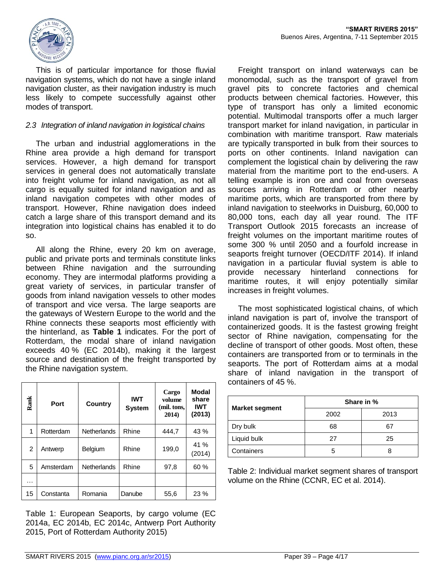

This is of particular importance for those fluvial navigation systems, which do not have a single inland navigation cluster, as their navigation industry is much less likely to compete successfully against other modes of transport.

#### *2.3 Integration of inland navigation in logistical chains*

The urban and industrial agglomerations in the Rhine area provide a high demand for transport services. However, a high demand for transport services in general does not automatically translate into freight volume for inland navigation, as not all cargo is equally suited for inland navigation and as inland navigation competes with other modes of transport. However, Rhine navigation does indeed catch a large share of this transport demand and its integration into logistical chains has enabled it to do so.

All along the Rhine, every 20 km on average, public and private ports and terminals constitute links between Rhine navigation and the surrounding economy. They are intermodal platforms providing a great variety of services, in particular transfer of goods from inland navigation vessels to other modes of transport and vice versa. The large seaports are the gateways of Western Europe to the world and the Rhine connects these seaports most efficiently with the hinterland, as **Table 1** indicates. For the port of Rotterdam, the modal share of inland navigation exceeds 40 % (EC 2014b), making it the largest source and destination of the freight transported by the Rhine navigation system.

| Rank | Port      | Country     | <b>IWT</b><br><b>System</b> | Cargo<br>volume<br>(mil. tons,<br>2014) | Modal<br>share<br><b>IWT</b><br>(2013) |
|------|-----------|-------------|-----------------------------|-----------------------------------------|----------------------------------------|
| 1    | Rotterdam | Netherlands | Rhine                       | 444,7                                   | 43 %                                   |
| 2    | Antwerp   | Belgium     | Rhine                       | 199,0                                   | 41 %<br>(2014)                         |
| 5    | Amsterdam | Netherlands | Rhine                       | 97,8                                    | 60 %                                   |
| .    |           |             |                             |                                         |                                        |
| 15   | Constanta | Romania     | Danube                      | 55,6                                    | 23%                                    |

Table 1: European Seaports, by cargo volume (EC 2014a, EC 2014b, EC 2014c, Antwerp Port Authority 2015, Port of Rotterdam Authority 2015)

Freight transport on inland waterways can be monomodal, such as the transport of gravel from gravel pits to concrete factories and chemical products between chemical factories. However, this type of transport has only a limited economic potential. Multimodal transports offer a much larger transport market for inland navigation, in particular in combination with maritime transport. Raw materials are typically transported in bulk from their sources to ports on other continents. Inland navigation can complement the logistical chain by delivering the raw material from the maritime port to the end-users. A telling example is iron ore and coal from overseas sources arriving in Rotterdam or other nearby maritime ports, which are transported from there by inland navigation to steelworks in Duisburg, 60,000 to 80,000 tons, each day all year round. The ITF Transport Outlook 2015 forecasts an increase of freight volumes on the important maritime routes of some 300 % until 2050 and a fourfold increase in seaports freight turnover (OECD/ITF 2014). If inland navigation in a particular fluvial system is able to provide necessary hinterland connections for maritime routes, it will enjoy potentially similar increases in freight volumes.

The most sophisticated logistical chains, of which inland navigation is part of, involve the transport of containerized goods. It is the fastest growing freight sector of Rhine navigation, compensating for the decline of transport of other goods. Most often, these containers are transported from or to terminals in the seaports. The port of Rotterdam aims at a modal share of inland navigation in the transport of containers of 45 %.

|                       | Share in % |      |  |  |
|-----------------------|------------|------|--|--|
| <b>Market segment</b> | 2002       | 2013 |  |  |
| Dry bulk              | 68         |      |  |  |
| Liquid bulk           | 27         | 25   |  |  |
| Containers            | h          |      |  |  |

Table 2: Individual market segment shares of transport volume on the Rhine (CCNR, EC et al. 2014).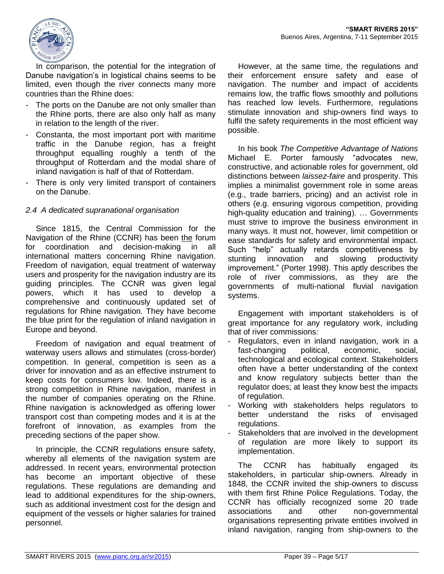

In comparison, the potential for the integration of Danube navigation's in logistical chains seems to be limited, even though the river connects many more countries than the Rhine does:

- The ports on the Danube are not only smaller than the Rhine ports, there are also only half as many in relation to the length of the river.
- Constanta, the most important port with maritime traffic in the Danube region, has a freight throughput equalling roughly a tenth of the throughput of Rotterdam and the modal share of inland navigation is half of that of Rotterdam.
- There is only very limited transport of containers on the Danube.

# *2.4 A dedicated supranational organisation*

Since 1815, the Central Commission for the Navigation of the Rhine (CCNR) has been the forum for coordination and decision-making in all international matters concerning Rhine navigation. Freedom of navigation, equal treatment of waterway users and prosperity for the navigation industry are its guiding principles. The CCNR was given legal powers, which it has used to develop a comprehensive and continuously updated set of regulations for Rhine navigation. They have become the blue print for the regulation of inland navigation in Europe and beyond.

Freedom of navigation and equal treatment of waterway users allows and stimulates (cross-border) competition. In general, competition is seen as a driver for innovation and as an effective instrument to keep costs for consumers low. Indeed, there is a strong competition in Rhine navigation, manifest in the number of companies operating on the Rhine. Rhine navigation is acknowledged as offering lower transport cost than competing modes and it is at the forefront of innovation, as examples from the preceding sections of the paper show.

In principle, the CCNR regulations ensure safety, whereby all elements of the navigation system are addressed. In recent years, environmental protection has become an important objective of these regulations. These regulations are demanding and lead to additional expenditures for the ship-owners, such as additional investment cost for the design and equipment of the vessels or higher salaries for trained personnel.

However, at the same time, the regulations and their enforcement ensure safety and ease of navigation. The number and impact of accidents remains low, the traffic flows smoothly and pollutions has reached low levels. Furthermore, regulations stimulate innovation and ship-owners find ways to fulfil the safety requirements in the most efficient way possible.

In his book *The Competitive Advantage of Nations* Michael E. Porter famously "advocates new, constructive, and actionable roles for government, old distinctions between *laissez-faire* and prosperity. This implies a minimalist government role in some areas (e.g., trade barriers, pricing) and an activist role in others (e.g. ensuring vigorous competition, providing high-quality education and training). … Governments must strive to improve the business environment in many ways. It must not, however, limit competition or ease standards for safety and environmental impact. Such "help" actually retards competitiveness by stunting innovation and slowing productivity improvement." (Porter 1998). This aptly describes the role of river commissions, as they are the governments of multi-national fluvial navigation systems.

Engagement with important stakeholders is of great importance for any regulatory work, including that of river commissions:

- Regulators, even in inland navigation, work in a fast-changing political, economic, social, technological and ecological context. Stakeholders often have a better understanding of the context and know regulatory subjects better than the regulator does; at least they know best the impacts of regulation.
- Working with stakeholders helps regulators to better understand the risks of envisaged regulations.
- Stakeholders that are involved in the development of regulation are more likely to support its implementation.

The CCNR has habitually engaged its stakeholders, in particular ship-owners. Already in 1848, the CCNR invited the ship-owners to discuss with them first Rhine Police Regulations. Today, the CCNR has officially recognized some 20 trade associations and other non-governmental organisations representing private entities involved in inland navigation, ranging from ship-owners to the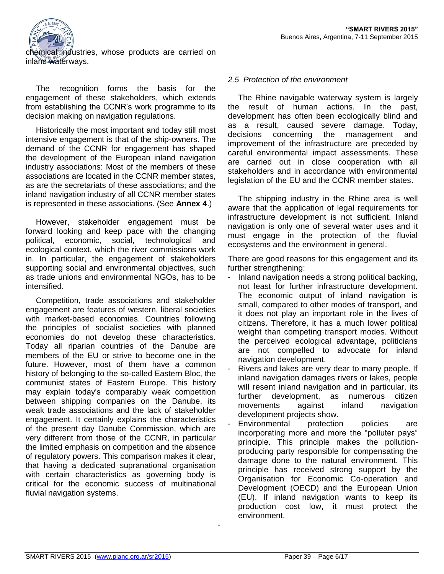

chemical industries, whose products are carried on inland waterways.

The recognition forms the basis for the engagement of these stakeholders, which extends from establishing the CCNR's work programme to its decision making on navigation regulations.

Historically the most important and today still most intensive engagement is that of the ship-owners. The demand of the CCNR for engagement has shaped the development of the European inland navigation industry associations: Most of the members of these associations are located in the CCNR member states, as are the secretariats of these associations; and the inland navigation industry of all CCNR member states is represented in these associations. (See **Annex 4**.)

However, stakeholder engagement must be forward looking and keep pace with the changing political, economic, social, technological and ecological context, which the river commissions work in. In particular, the engagement of stakeholders supporting social and environmental objectives, such as trade unions and environmental NGOs, has to be intensified.

Competition, trade associations and stakeholder engagement are features of western, liberal societies with market-based economies. Countries following the principles of socialist societies with planned economies do not develop these characteristics. Today all riparian countries of the Danube are members of the EU or strive to become one in the future. However, most of them have a common history of belonging to the so-called Eastern Bloc, the communist states of Eastern Europe. This history may explain today's comparably weak competition between shipping companies on the Danube, its weak trade associations and the lack of stakeholder engagement. It certainly explains the characteristics of the present day Danube Commission, which are very different from those of the CCNR, in particular the limited emphasis on competition and the absence of regulatory powers. This comparison makes it clear, that having a dedicated supranational organisation with certain characteristics as governing body is critical for the economic success of multinational fluvial navigation systems.

#### *2.5 Protection of the environment*

The Rhine navigable waterway system is largely the result of human actions. In the past, development has often been ecologically blind and as a result, caused severe damage. Today, decisions concerning the management and improvement of the infrastructure are preceded by careful environmental impact assessments. These are carried out in close cooperation with all stakeholders and in accordance with environmental legislation of the EU and the CCNR member states.

The shipping industry in the Rhine area is well aware that the application of legal requirements for infrastructure development is not sufficient. Inland navigation is only one of several water uses and it must engage in the protection of the fluvial ecosystems and the environment in general.

There are good reasons for this engagement and its further strengthening:

- Inland navigation needs a strong political backing, not least for further infrastructure development. The economic output of inland navigation is small, compared to other modes of transport, and it does not play an important role in the lives of citizens. Therefore, it has a much lower political weight than competing transport modes. Without the perceived ecological advantage, politicians are not compelled to advocate for inland navigation development.
- Rivers and lakes are very dear to many people. If inland navigation damages rivers or lakes, people will resent inland navigation and in particular, its further development, as numerous citizen movements against inland navigation development projects show.
- Environmental protection policies are incorporating more and more the "polluter pays" principle. This principle makes the pollutionproducing party responsible for compensating the damage done to the natural environment. This principle has received strong support by the Organisation for Economic Co-operation and Development (OECD) and the European Union (EU). If inland navigation wants to keep its production cost low, it must protect the environment.

-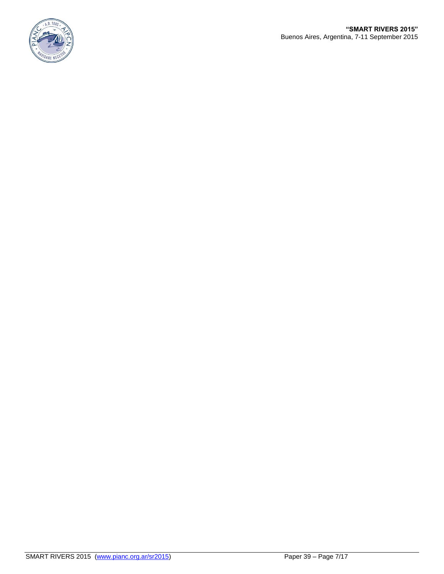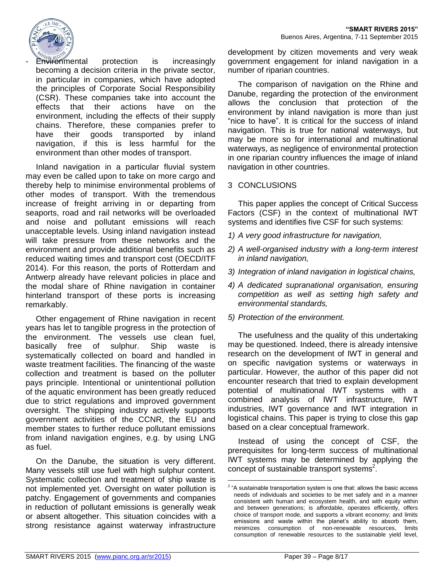

Environmental protection is increasingly becoming a decision criteria in the private sector, in particular in companies, which have adopted the principles of Corporate Social Responsibility (CSR). These companies take into account the effects that their actions have on the environment, including the effects of their supply chains. Therefore, these companies prefer to have their goods transported by inland navigation, if this is less harmful for the environment than other modes of transport.

Inland navigation in a particular fluvial system may even be called upon to take on more cargo and thereby help to minimise environmental problems of other modes of transport. With the tremendous increase of freight arriving in or departing from seaports, road and rail networks will be overloaded and noise and pollutant emissions will reach unacceptable levels. Using inland navigation instead will take pressure from these networks and the environment and provide additional benefits such as reduced waiting times and transport cost (OECD/ITF 2014). For this reason, the ports of Rotterdam and Antwerp already have relevant policies in place and the modal share of Rhine navigation in container hinterland transport of these ports is increasing remarkably.

Other engagement of Rhine navigation in recent years has let to tangible progress in the protection of the environment. The vessels use clean fuel, basically free of sulphur. Ship waste is systematically collected on board and handled in waste treatment facilities. The financing of the waste collection and treatment is based on the polluter pays principle. Intentional or unintentional pollution of the aquatic environment has been greatly reduced due to strict regulations and improved government oversight. The shipping industry actively supports government activities of the CCNR, the EU and member states to further reduce pollutant emissions from inland navigation engines, e.g. by using LNG as fuel.

On the Danube, the situation is very different. Many vessels still use fuel with high sulphur content. Systematic collection and treatment of ship waste is not implemented yet. Oversight on water pollution is patchy. Engagement of governments and companies in reduction of pollutant emissions is generally weak or absent altogether. This situation coincides with a strong resistance against waterway infrastructure development by citizen movements and very weak government engagement for inland navigation in a number of riparian countries.

The comparison of navigation on the Rhine and Danube, regarding the protection of the environment allows the conclusion that protection of the environment by inland navigation is more than just "nice to have". It is critical for the success of inland navigation. This is true for national waterways, but may be more so for international and multinational waterways, as negligence of environmental protection in one riparian country influences the image of inland navigation in other countries.

#### 3 CONCLUSIONS

This paper applies the concept of Critical Success Factors (CSF) in the context of multinational IWT systems and identifies five CSF for such systems:

- *1) A very good infrastructure for navigation,*
- *2) A well-organised industry with a long-term interest in inland navigation,*
- *3) Integration of inland navigation in logistical chains,*
- *4) A dedicated supranational organisation, ensuring competition as well as setting high safety and environmental standards,*
- *5) Protection of the environment.*

The usefulness and the quality of this undertaking may be questioned. Indeed, there is already intensive research on the development of IWT in general and on specific navigation systems or waterways in particular. However, the author of this paper did not encounter research that tried to explain development potential of multinational IWT systems with a combined analysis of IWT infrastructure, IWT industries, IWT governance and IWT integration in logistical chains. This paper is trying to close this gap based on a clear conceptual framework.

Instead of using the concept of CSF, the prerequisites for long-term success of multinational IWT systems may be determined by applying the concept of sustainable transport systems $2$ .

 $2^2$  "A sustainable transportation system is one that: allows the basic access needs of individuals and societies to be met safely and in a manner consistent with human and ecosystem health, and with equity within and between generations; is affordable, operates efficiently, offers choice of transport mode, and supports a vibrant economy; and limits emissions and waste within the planet's ability to absorb them, minimizes consumption of non-renewable resources, limits consumption of renewable resources to the sustainable yield level,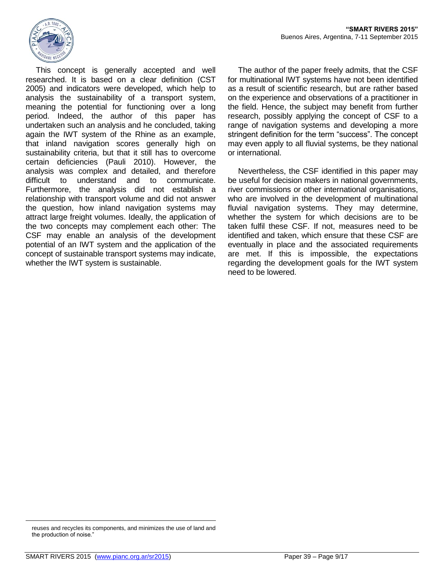

This concept is generally accepted and well researched. It is based on a clear definition (CST 2005) and indicators were developed, which help to analysis the sustainability of a transport system, meaning the potential for functioning over a long period. Indeed, the author of this paper has undertaken such an analysis and he concluded, taking again the IWT system of the Rhine as an example, that inland navigation scores generally high on sustainability criteria, but that it still has to overcome certain deficiencies (Pauli 2010). However, the analysis was complex and detailed, and therefore difficult to understand and to communicate. Furthermore, the analysis did not establish a relationship with transport volume and did not answer the question, how inland navigation systems may attract large freight volumes. Ideally, the application of the two concepts may complement each other: The CSF may enable an analysis of the development potential of an IWT system and the application of the concept of sustainable transport systems may indicate, whether the IWT system is sustainable.

The author of the paper freely admits, that the CSF for multinational IWT systems have not been identified as a result of scientific research, but are rather based on the experience and observations of a practitioner in the field. Hence, the subject may benefit from further research, possibly applying the concept of CSF to a range of navigation systems and developing a more stringent definition for the term "success". The concept may even apply to all fluvial systems, be they national or international.

Nevertheless, the CSF identified in this paper may be useful for decision makers in national governments, river commissions or other international organisations, who are involved in the development of multinational fluvial navigation systems. They may determine, whether the system for which decisions are to be taken fulfil these CSF. If not, measures need to be identified and taken, which ensure that these CSF are eventually in place and the associated requirements are met. If this is impossible, the expectations regarding the development goals for the IWT system need to be lowered.

 $\overline{a}$ 

reuses and recycles its components, and minimizes the use of land and the production of noise."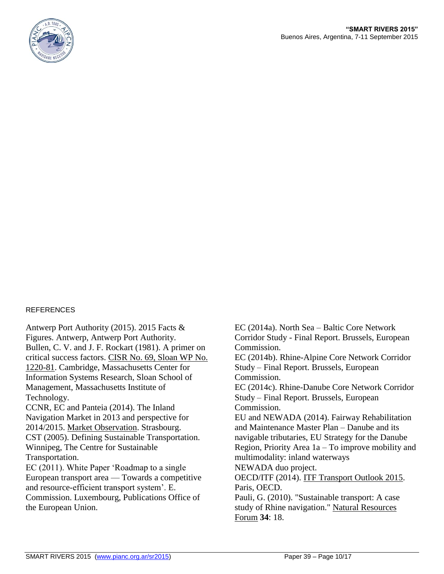

# REFERENCES

Antwerp Port Authority (2015). 2015 Facts & Figures. Antwerp, Antwerp Port Authority. Bullen, C. V. and J. F. Rockart (1981). A primer on critical success factors. CISR No. 69, Sloan WP No. 1220-81. Cambridge, Massachusetts Center for Information Systems Research, Sloan School of Management, Massachusetts Institute of Technology.

CCNR, EC and Panteia (2014). The Inland Navigation Market in 2013 and perspective for 2014/2015. Market Observation. Strasbourg. CST (2005). Defining Sustainable Transportation. Winnipeg, The Centre for Sustainable Transportation.

EC (2011). White Paper 'Roadmap to a single European transport area — Towards a competitive and resource-efficient transport system'. E. Commission. Luxembourg, Publications Office of the European Union.

EC (2014a). North Sea – Baltic Core Network Corridor Study - Final Report. Brussels, European Commission. EC (2014b). Rhine-Alpine Core Network Corridor Study – Final Report. Brussels, European Commission. EC (2014c). Rhine-Danube Core Network Corridor Study – Final Report. Brussels, European Commission. EU and NEWADA (2014). Fairway Rehabilitation and Maintenance Master Plan – Danube and its navigable tributaries, EU Strategy for the Danube Region, Priority Area 1a – To improve mobility and multimodality: inland waterways NEWADA duo project. OECD/ITF (2014). ITF Transport Outlook 2015. Paris, OECD. Pauli, G. (2010). "Sustainable transport: A case study of Rhine navigation." Natural Resources Forum **34**: 18.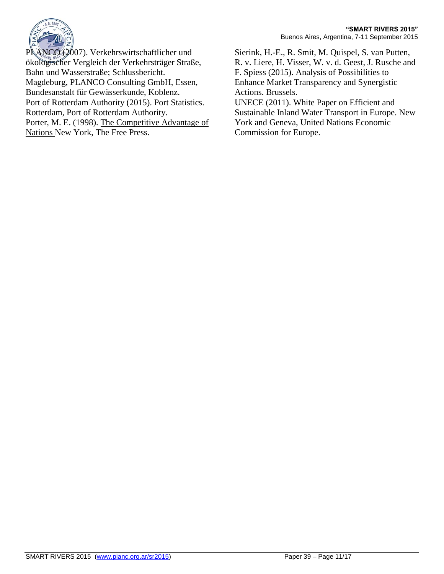

PLANCO (2007). Verkehrswirtschaftlicher und ökologischer Vergleich der Verkehrsträger Straße, Bahn und Wasserstraße; Schlussbericht. Magdeburg, PLANCO Consulting GmbH, Essen, Bundesanstalt für Gewässerkunde, Koblenz. Port of Rotterdam Authority (2015). Port Statistics. Rotterdam, Port of Rotterdam Authority. Porter, M. E. (1998). The Competitive Advantage of Nations New York, The Free Press.

Sierink, H.-E., R. Smit, M. Quispel, S. van Putten, R. v. Liere, H. Visser, W. v. d. Geest, J. Rusche and F. Spiess (2015). Analysis of Possibilities to Enhance Market Transparency and Synergistic Actions. Brussels.

UNECE (2011). White Paper on Efficient and Sustainable Inland Water Transport in Europe. New York and Geneva, United Nations Economic Commission for Europe.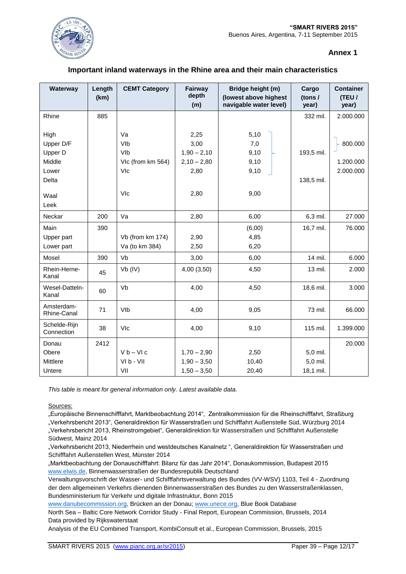

| Waterway                                        | Length<br>(km) | <b>CEMT Category</b>                         | Fairway<br>depth<br>(m)                                | Bridge height (m)<br>(lowest above highest<br>navigable water level) | Cargo<br>(tons /<br>year) | <b>Container</b><br>(TEU /<br>year) |
|-------------------------------------------------|----------------|----------------------------------------------|--------------------------------------------------------|----------------------------------------------------------------------|---------------------------|-------------------------------------|
| Rhine                                           | 885            |                                              |                                                        |                                                                      | 332 mil.                  | 2.000.000                           |
| High<br>Upper D/F<br>Upper D<br>Middle<br>Lower |                | Va<br>VIb<br>VIb<br>VIc (from km 564)<br>VIc | 2,25<br>3,00<br>$1,90 - 2,10$<br>$2,10 - 2,80$<br>2,80 | 5,10<br>7,0<br>9,10<br>9,10<br>9,10                                  | 193,5 mil.                | 800.000<br>1.200.000<br>2.000.000   |
| Delta<br>Waal<br>Leek                           |                | VIc                                          | 2,80                                                   | 9,00                                                                 | 138,5 mil.                |                                     |
| Neckar                                          | 200            | Va                                           | 2,80                                                   | 6,00                                                                 | 6,3 mil.                  | 27.000                              |
| Main<br>Upper part<br>Lower part                | 390            | Vb (from km 174)<br>Va (to km 384)           | 2,90<br>2,50                                           | (6,00)<br>4,85<br>6,20                                               | 16,7 mil.                 | 76.000                              |
| Mosel                                           | 390            | Vb                                           | 3,00                                                   | 6,00                                                                 | 14 mil.                   | 6.000                               |
| Rhein-Herne-<br>Kanal                           | 45             | Vb (IV)                                      | 4,00 (3,50)                                            | 4,50                                                                 | 13 mil.                   | 2.000                               |
| Wesel-Datteln-<br>Kanal                         | 60             | Vb                                           | 4,00                                                   | 4,50                                                                 | 18,6 mil.                 | 3.000                               |
| Amsterdam-<br>Rhine-Canal                       | 71             | VIb                                          | 4,00                                                   | 9,05                                                                 | 73 mil.                   | 66.000                              |
| Schelde-Rijn<br>Connection                      | 38             | VIc                                          | 4,00                                                   | 9,10                                                                 | 115 mil.                  | 1.399.000                           |
| Donau<br>Obere                                  | 2412           | $V b - VI c$                                 | $1,70 - 2,90$                                          | 2,50                                                                 | 5,0 mil.                  | 20.000                              |
| Mittlere<br>Untere                              |                | VI b - VII<br>VII                            | $1,90 - 3,50$<br>$1,50 - 3,50$                         | 10,40<br>20,40                                                       | 5,0 mil.<br>18,1 mil.     |                                     |

# **Important inland waterways in the Rhine area and their main characteristics**

*This table is meant for general information only. Latest available data.*

Sources:

"Europäische Binnenschifffahrt, Marktbeobachtung 2014", Zentralkommission für die Rheinschifffahrt, Straßburg "Verkehrsbericht 2013", Generaldirektion für Wasserstraßen und Schifffahrt Außenstelle Süd, Würzburg 2014 "Verkehrsbericht 2013, Rheinstromgebiet", Generaldirektion für Wasserstraßen und Schifffahrt Außenstelle Südwest, Mainz 2014

"Verkehrsbericht 2013, Niederrhein und westdeutsches Kanalnetz ", Generaldirektion für Wasserstraßen und Schifffahrt Außenstellen West, Münster 2014

"Marktbeobachtung der Donauschifffahrt: Bilanz für das Jahr 2014", Donaukommission, Budapest 2015 [www.elwis.de,](http://www.elwis.de/) Binnenwasserstraßen der Bundesrepublik Deutschland

Verwaltungsvorschrift der Wasser- und Schifffahrtsverwaltung des Bundes (VV-WSV) 1103, Teil 4 - Zuordnung der dem allgemeinen Verkehrs dienenden Binnenwasserstraßen des Bundes zu den Wasserstraßenklassen, Bundesministerium für Verkehr und digitale Infrastruktur, Bonn 2015

[www.danubecommission.org,](http://www.danubecommission.org/) Brücken an der Donau; [www.unece.org,](http://www.unece.org/) Blue Book Database

North Sea – Baltic Core Network Corridor Study - Final Report, European Commission, Brussels, 2014 Data provided by Rijkswaterstaat

Analysis of the EU Combined Transport, KombiConsult et al., European Commission, Brussels, 2015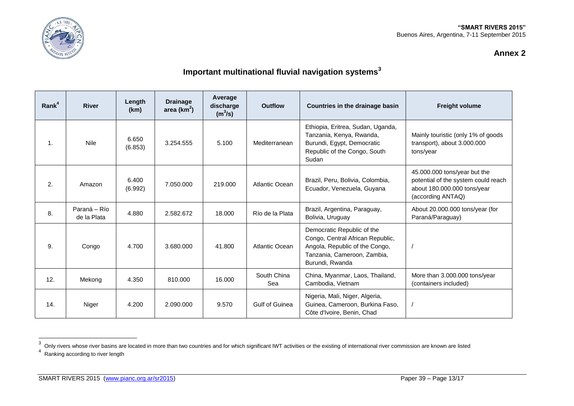

# **Important multinational fluvial navigation systems<sup>3</sup>**

| Rank <sup>4</sup> | <b>River</b>                | Length<br>(km)   | <b>Drainage</b><br>area ( $km2$ ) | Average<br>discharge<br>$(m^3/s)$ | <b>Outflow</b>        | Countries in the drainage basin                                                                                                                    | <b>Freight volume</b>                                                                                                   |
|-------------------|-----------------------------|------------------|-----------------------------------|-----------------------------------|-----------------------|----------------------------------------------------------------------------------------------------------------------------------------------------|-------------------------------------------------------------------------------------------------------------------------|
| 1.                | Nile                        | 6.650<br>(6.853) | 3.254.555                         | 5.100                             | Mediterranean         | Ethiopia, Eritrea, Sudan, Uganda,<br>Tanzania, Kenya, Rwanda,<br>Burundi, Egypt, Democratic<br>Republic of the Congo, South<br>Sudan               | Mainly touristic (only 1% of goods<br>transport), about 3.000.000<br>tons/year                                          |
| 2.                | Amazon                      | 6.400<br>(6.992) | 7.050.000                         | 219.000                           | Atlantic Ocean        | Brazil, Peru, Bolivia, Colombia,<br>Ecuador, Venezuela, Guyana                                                                                     | 45.000.000 tons/year but the<br>potential of the system could reach<br>about 180.000.000 tons/year<br>(according ANTAQ) |
| 8.                | Paraná – Río<br>de la Plata | 4.880            | 2.582.672                         | 18.000                            | Río de la Plata       | Brazil, Argentina, Paraguay,<br>Bolivia, Uruguay                                                                                                   | About 20.000.000 tons/year (for<br>Paraná/Paraguay)                                                                     |
| 9.                | Congo                       | 4.700            | 3.680.000                         | 41.800                            | <b>Atlantic Ocean</b> | Democratic Republic of the<br>Congo, Central African Republic,<br>Angola, Republic of the Congo,<br>Tanzania, Cameroon, Zambia,<br>Burundi, Rwanda |                                                                                                                         |
| 12.               | Mekong                      | 4.350            | 810.000                           | 16.000                            | South China<br>Sea    | China, Myanmar, Laos, Thailand,<br>Cambodia, Vietnam                                                                                               | More than 3.000.000 tons/year<br>(containers included)                                                                  |
| 14.               | Niger                       | 4.200            | 2.090.000                         | 9.570                             | <b>Gulf of Guinea</b> | Nigeria, Mali, Niger, Algeria,<br>Guinea, Cameroon, Burkina Faso,<br>Côte d'Ivoire, Benin, Chad                                                    |                                                                                                                         |

3<br><sup>3</sup> Only rivers whose river basins are located in more than two countries and for which significant IWT activities or the existing of international river commission are known are listed<br><sup>4</sup> Ranking according to river len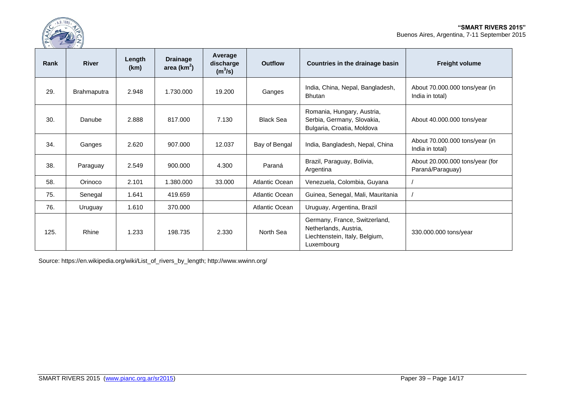

| $\mathbb{R}^n$<br>Rank | $\sim$<br><b>River</b> | Length<br>(km) | <b>Drainage</b><br>area (km <sup>2</sup> ) | Average<br>discharge<br>$(m^3/s)$ | <b>Outflow</b>        | Countries in the drainage basin                                                                        | <b>Freight volume</b>                               |
|------------------------|------------------------|----------------|--------------------------------------------|-----------------------------------|-----------------------|--------------------------------------------------------------------------------------------------------|-----------------------------------------------------|
| 29.                    | <b>Brahmaputra</b>     | 2.948          | 1.730.000                                  | 19.200                            | Ganges                | India, China, Nepal, Bangladesh,<br><b>Bhutan</b>                                                      | About 70.000.000 tons/year (in<br>India in total)   |
| 30.                    | Danube                 | 2.888          | 817.000                                    | 7.130                             | <b>Black Sea</b>      | Romania, Hungary, Austria,<br>Serbia, Germany, Slovakia,<br>Bulgaria, Croatia, Moldova                 | About 40.000.000 tons/year                          |
| 34.                    | Ganges                 | 2.620          | 907.000                                    | 12.037                            | Bay of Bengal         | India, Bangladesh, Nepal, China                                                                        | About 70.000.000 tons/year (in<br>India in total)   |
| 38.                    | Paraguay               | 2.549          | 900.000                                    | 4.300                             | Paraná                | Brazil, Paraguay, Bolivia,<br>Argentina                                                                | About 20.000.000 tons/year (for<br>Paraná/Paraguay) |
| 58.                    | Orinoco                | 2.101          | 1.380.000                                  | 33.000                            | <b>Atlantic Ocean</b> | Venezuela, Colombia, Guyana                                                                            |                                                     |
| 75.                    | Senegal                | 1.641          | 419.659                                    |                                   | Atlantic Ocean        | Guinea, Senegal, Mali, Mauritania                                                                      |                                                     |
| 76.                    | Uruguay                | 1.610          | 370.000                                    |                                   | Atlantic Ocean        | Uruguay, Argentina, Brazil                                                                             |                                                     |
| 125.                   | Rhine                  | 1.233          | 198.735                                    | 2.330                             | North Sea             | Germany, France, Switzerland,<br>Netherlands, Austria,<br>Liechtenstein, Italy, Belgium,<br>Luxembourg | 330.000.000 tons/year                               |

Source: https://en.wikipedia.org/wiki/List\_of\_rivers\_by\_length; http://www.wwinn.org/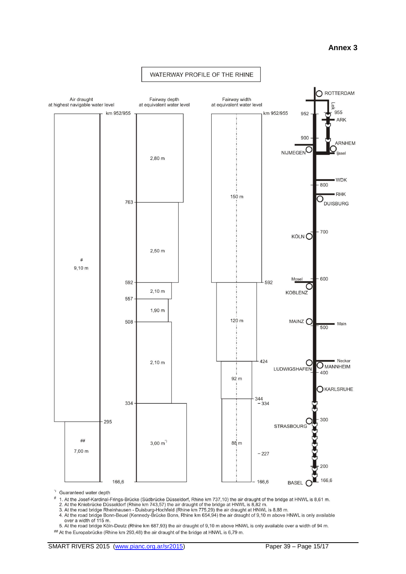

<sup>\*</sup>) Guaranteed water depth  $\#$ 

1. At the Josef-Kardinal-Frings-Brücke (Südbrücke Düsseldorf, Rhine km 737,10) the air draught of the bridge at HNWL is 8,61 m.

2. At the Kniebrücke Düsseldorf (Rhine km 743,57) the air draught of the bridge at HNWL is 8,82 m.<br>3. At the road bridge Rheinhausen - Duisburg-Hochfeld (Rhine km 775,29) the air draught at HNWL is 8,88 m.<br>4. At the road b over a width of 115 m.

5. At the road bridge Köln-Deutz (Rhine km 687,93) the air draught of 9,10 m above HNWL is only available over a width of 94 m. ## At the Europabrücke (Rhine km 293,48) the air draught of the bridge at HNWL is 6,79 m.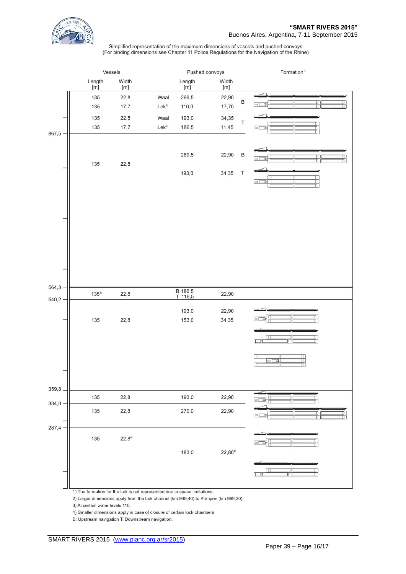

Simplified representation of the maximum dimensions of vessels and pushed convoys (For binding dimensions see Chapter 11 Police Regulations for the Navigation of the Rhine)



1) The formation for the Lek is not represented due to space limitations.

2) Larger dimensions apply from the Lek channel (km 949,40) to Krimpen (km 989,20).

3) At certain water levels 110.

4) Smaller dimensions apply in case of closure of certain lock chambers.

B: Upstream navigation T: Downstream navigation.